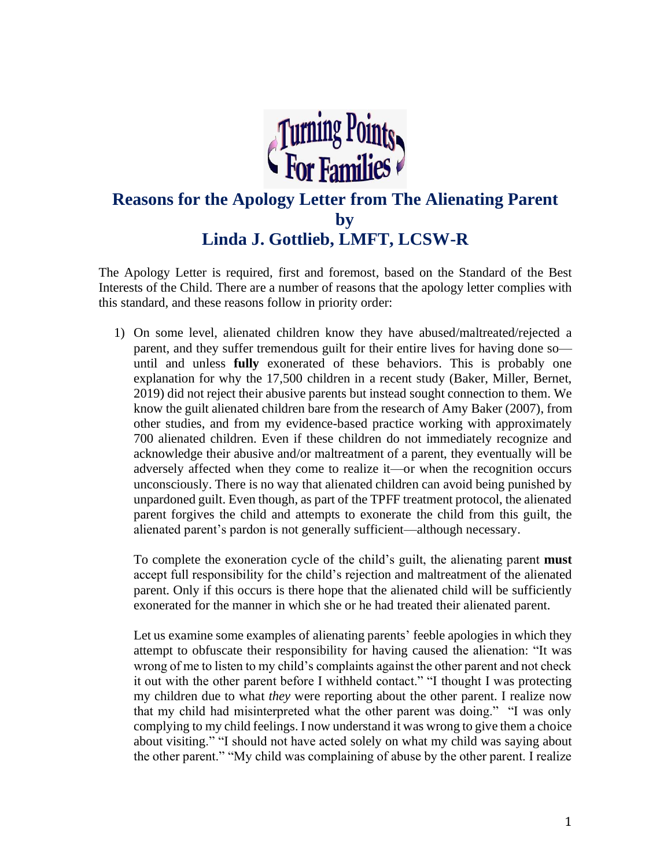

## **Reasons for the Apology Letter from The Alienating Parent by Linda J. Gottlieb, LMFT, LCSW-R**

The Apology Letter is required, first and foremost, based on the Standard of the Best Interests of the Child. There are a number of reasons that the apology letter complies with this standard, and these reasons follow in priority order:

1) On some level, alienated children know they have abused/maltreated/rejected a parent, and they suffer tremendous guilt for their entire lives for having done so until and unless **fully** exonerated of these behaviors. This is probably one explanation for why the 17,500 children in a recent study (Baker, Miller, Bernet, 2019) did not reject their abusive parents but instead sought connection to them. We know the guilt alienated children bare from the research of Amy Baker (2007), from other studies, and from my evidence-based practice working with approximately 700 alienated children. Even if these children do not immediately recognize and acknowledge their abusive and/or maltreatment of a parent, they eventually will be adversely affected when they come to realize it—or when the recognition occurs unconsciously. There is no way that alienated children can avoid being punished by unpardoned guilt. Even though, as part of the TPFF treatment protocol, the alienated parent forgives the child and attempts to exonerate the child from this guilt, the alienated parent's pardon is not generally sufficient—although necessary.

To complete the exoneration cycle of the child's guilt, the alienating parent **must** accept full responsibility for the child's rejection and maltreatment of the alienated parent. Only if this occurs is there hope that the alienated child will be sufficiently exonerated for the manner in which she or he had treated their alienated parent.

Let us examine some examples of alienating parents' feeble apologies in which they attempt to obfuscate their responsibility for having caused the alienation: "It was wrong of me to listen to my child's complaints against the other parent and not check it out with the other parent before I withheld contact." "I thought I was protecting my children due to what *they* were reporting about the other parent. I realize now that my child had misinterpreted what the other parent was doing." "I was only complying to my child feelings. I now understand it was wrong to give them a choice about visiting." "I should not have acted solely on what my child was saying about the other parent." "My child was complaining of abuse by the other parent. I realize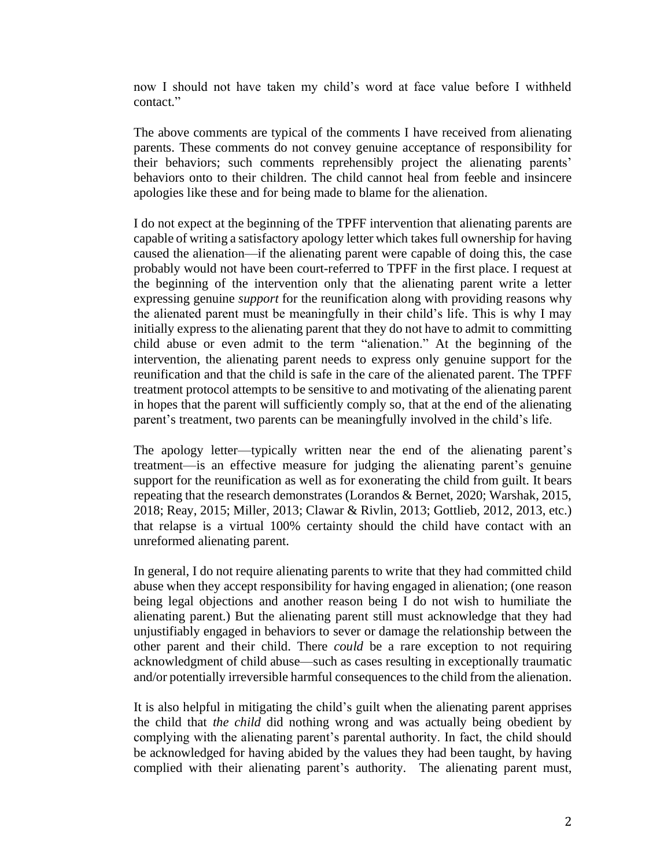now I should not have taken my child's word at face value before I withheld contact."

The above comments are typical of the comments I have received from alienating parents. These comments do not convey genuine acceptance of responsibility for their behaviors; such comments reprehensibly project the alienating parents' behaviors onto to their children. The child cannot heal from feeble and insincere apologies like these and for being made to blame for the alienation.

I do not expect at the beginning of the TPFF intervention that alienating parents are capable of writing a satisfactory apology letter which takes full ownership for having caused the alienation—if the alienating parent were capable of doing this, the case probably would not have been court-referred to TPFF in the first place. I request at the beginning of the intervention only that the alienating parent write a letter expressing genuine *support* for the reunification along with providing reasons why the alienated parent must be meaningfully in their child's life. This is why I may initially express to the alienating parent that they do not have to admit to committing child abuse or even admit to the term "alienation." At the beginning of the intervention, the alienating parent needs to express only genuine support for the reunification and that the child is safe in the care of the alienated parent. The TPFF treatment protocol attempts to be sensitive to and motivating of the alienating parent in hopes that the parent will sufficiently comply so, that at the end of the alienating parent's treatment, two parents can be meaningfully involved in the child's life.

The apology letter—typically written near the end of the alienating parent's treatment—is an effective measure for judging the alienating parent's genuine support for the reunification as well as for exonerating the child from guilt. It bears repeating that the research demonstrates (Lorandos & Bernet, 2020; Warshak, 2015, 2018; Reay, 2015; Miller, 2013; Clawar & Rivlin, 2013; Gottlieb, 2012, 2013, etc.) that relapse is a virtual 100% certainty should the child have contact with an unreformed alienating parent.

In general, I do not require alienating parents to write that they had committed child abuse when they accept responsibility for having engaged in alienation; (one reason being legal objections and another reason being I do not wish to humiliate the alienating parent.) But the alienating parent still must acknowledge that they had unjustifiably engaged in behaviors to sever or damage the relationship between the other parent and their child. There *could* be a rare exception to not requiring acknowledgment of child abuse—such as cases resulting in exceptionally traumatic and/or potentially irreversible harmful consequences to the child from the alienation.

It is also helpful in mitigating the child's guilt when the alienating parent apprises the child that *the child* did nothing wrong and was actually being obedient by complying with the alienating parent's parental authority. In fact, the child should be acknowledged for having abided by the values they had been taught, by having complied with their alienating parent's authority. The alienating parent must,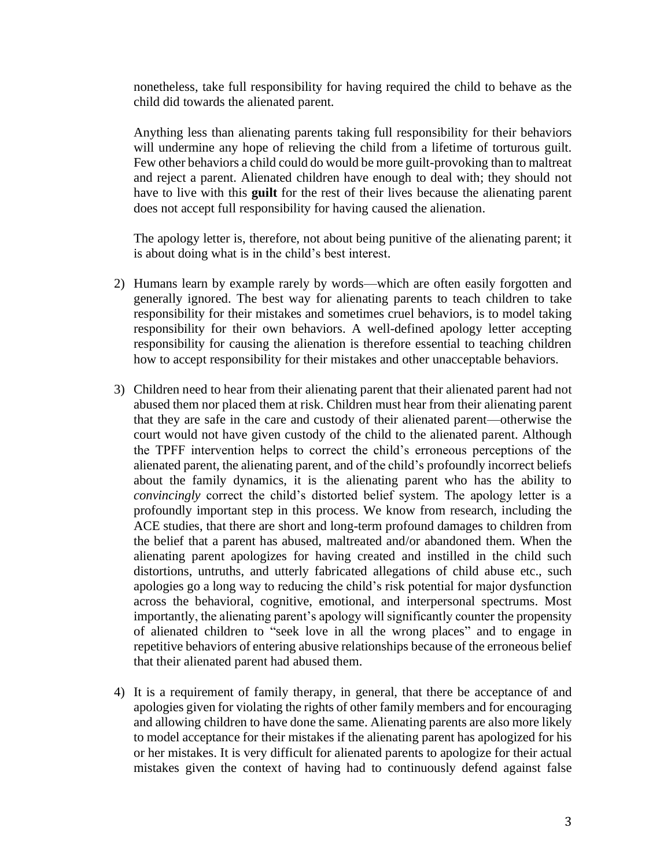nonetheless, take full responsibility for having required the child to behave as the child did towards the alienated parent.

Anything less than alienating parents taking full responsibility for their behaviors will undermine any hope of relieving the child from a lifetime of torturous guilt. Few other behaviors a child could do would be more guilt-provoking than to maltreat and reject a parent. Alienated children have enough to deal with; they should not have to live with this **guilt** for the rest of their lives because the alienating parent does not accept full responsibility for having caused the alienation.

The apology letter is, therefore, not about being punitive of the alienating parent; it is about doing what is in the child's best interest.

- 2) Humans learn by example rarely by words—which are often easily forgotten and generally ignored. The best way for alienating parents to teach children to take responsibility for their mistakes and sometimes cruel behaviors, is to model taking responsibility for their own behaviors. A well-defined apology letter accepting responsibility for causing the alienation is therefore essential to teaching children how to accept responsibility for their mistakes and other unacceptable behaviors.
- 3) Children need to hear from their alienating parent that their alienated parent had not abused them nor placed them at risk. Children must hear from their alienating parent that they are safe in the care and custody of their alienated parent—otherwise the court would not have given custody of the child to the alienated parent. Although the TPFF intervention helps to correct the child's erroneous perceptions of the alienated parent, the alienating parent, and of the child's profoundly incorrect beliefs about the family dynamics, it is the alienating parent who has the ability to *convincingly* correct the child's distorted belief system. The apology letter is a profoundly important step in this process. We know from research, including the ACE studies, that there are short and long-term profound damages to children from the belief that a parent has abused, maltreated and/or abandoned them. When the alienating parent apologizes for having created and instilled in the child such distortions, untruths, and utterly fabricated allegations of child abuse etc., such apologies go a long way to reducing the child's risk potential for major dysfunction across the behavioral, cognitive, emotional, and interpersonal spectrums. Most importantly, the alienating parent's apology will significantly counter the propensity of alienated children to "seek love in all the wrong places" and to engage in repetitive behaviors of entering abusive relationships because of the erroneous belief that their alienated parent had abused them.
- 4) It is a requirement of family therapy, in general, that there be acceptance of and apologies given for violating the rights of other family members and for encouraging and allowing children to have done the same. Alienating parents are also more likely to model acceptance for their mistakes if the alienating parent has apologized for his or her mistakes. It is very difficult for alienated parents to apologize for their actual mistakes given the context of having had to continuously defend against false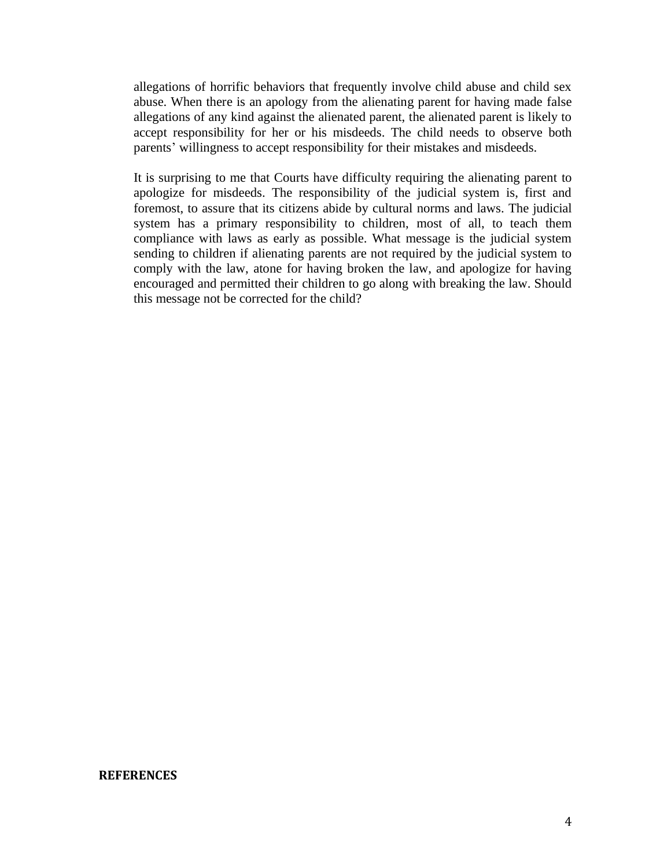allegations of horrific behaviors that frequently involve child abuse and child sex abuse. When there is an apology from the alienating parent for having made false allegations of any kind against the alienated parent, the alienated parent is likely to accept responsibility for her or his misdeeds. The child needs to observe both parents' willingness to accept responsibility for their mistakes and misdeeds.

It is surprising to me that Courts have difficulty requiring the alienating parent to apologize for misdeeds. The responsibility of the judicial system is, first and foremost, to assure that its citizens abide by cultural norms and laws. The judicial system has a primary responsibility to children, most of all, to teach them compliance with laws as early as possible. What message is the judicial system sending to children if alienating parents are not required by the judicial system to comply with the law, atone for having broken the law, and apologize for having encouraged and permitted their children to go along with breaking the law. Should this message not be corrected for the child?

## **REFERENCES**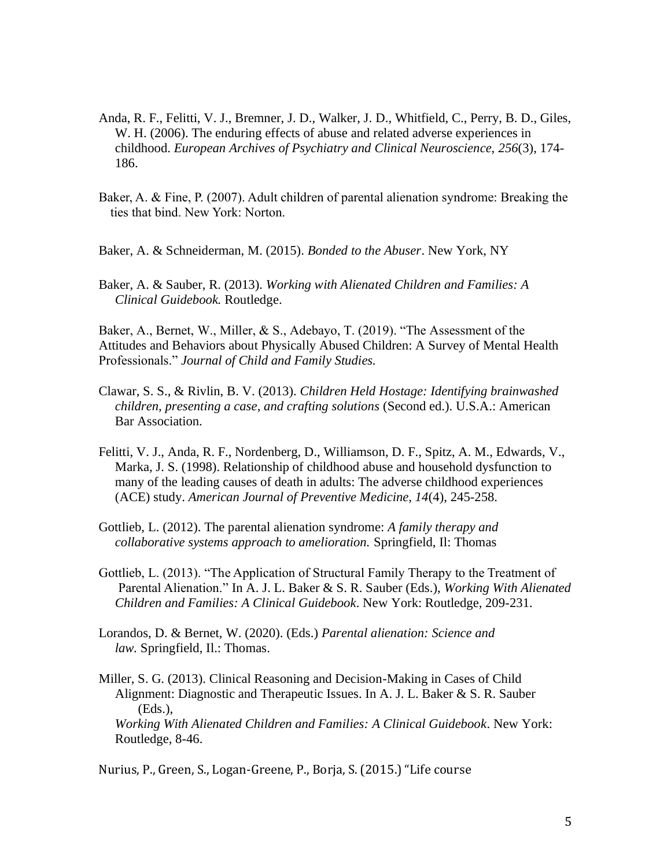- Anda, R. F., Felitti, V. J., Bremner, J. D., Walker, J. D., Whitfield, C., Perry, B. D., Giles, W. H. (2006). The enduring effects of abuse and related adverse experiences in childhood. *European Archives of Psychiatry and Clinical Neuroscience, 256*(3), 174- 186.
- Baker, A. & Fine, P. (2007). Adult children of parental alienation syndrome: Breaking the ties that bind. New York: Norton.
- Baker, A. & Schneiderman, M. (2015). *Bonded to the Abuser*. New York, NY
- Baker, A. & Sauber, R. (2013). *Working with Alienated Children and Families: A Clinical Guidebook.* Routledge.

Baker, A., Bernet, W., Miller, & S., Adebayo, T. (2019). "The Assessment of the Attitudes and Behaviors about Physically Abused Children: A Survey of Mental Health Professionals." *Journal of Child and Family Studies.* 

- Clawar, S. S., & Rivlin, B. V. (2013). *Children Held Hostage: Identifying brainwashed children, presenting a case, and crafting solutions* (Second ed.). U.S.A.: American **Bar Association.**
- Felitti, V. J., Anda, R. F., Nordenberg, D., Williamson, D. F., Spitz, A. M., Edwards, V., Marka, J. S. (1998). Relationship of childhood abuse and household dysfunction to many of the leading causes of death in adults: The adverse childhood experiences (ACE) study. *American Journal of Preventive Medicine, 14*(4), 245-258.
- Gottlieb, L. (2012). The parental alienation syndrome: *A family therapy and collaborative systems approach to amelioration.* Springfield, Il: Thomas
- Gottlieb, L. (2013). "The Application of Structural Family Therapy to the Treatment of Parental Alienation." In A. J. L. Baker & S. R. Sauber (Eds.), *Working With Alienated Children and Families: A Clinical Guidebook*. New York: Routledge, 209-231.
- Lorandos, D. & Bernet, W. (2020). (Eds.) *Parental alienation: Science and law.* Springfield, Il.: Thomas.
- Miller, S. G. (2013). Clinical Reasoning and Decision-Making in Cases of Child Alignment: Diagnostic and Therapeutic Issues. In A. J. L. Baker & S. R. Sauber (Eds.),  *Working With Alienated Children and Families: A Clinical Guidebook*. New York: Routledge, 8-46.

Nurius, P., Green, S., Logan-Greene, P., Borja, S. (2015.) "Life course